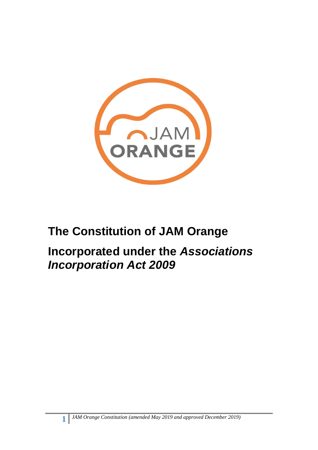

# **The Constitution of JAM Orange**

# **Incorporated under the** *Associations Incorporation Act 2009*

**1**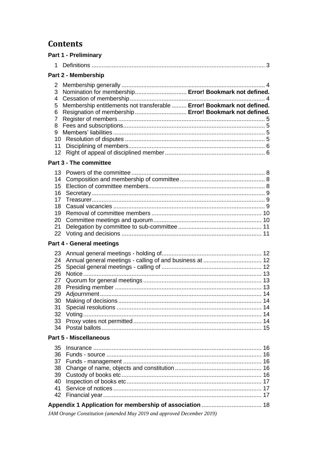# **Contents**

| <b>Part 1 - Preliminary</b>                                           |                                                                                                                                                                                                                              |  |  |
|-----------------------------------------------------------------------|------------------------------------------------------------------------------------------------------------------------------------------------------------------------------------------------------------------------------|--|--|
| 1                                                                     |                                                                                                                                                                                                                              |  |  |
| Part 2 - Membership                                                   |                                                                                                                                                                                                                              |  |  |
| 2<br>3<br>4<br>5<br>6<br>$\overline{7}$<br>8<br>9<br>10<br>11         | Nomination for membership Error! Bookmark not defined.<br>Membership entitlements not transferable  Error! Bookmark not defined.<br>Resignation of membership  Error! Bookmark not defined.<br><b>Part 3 - The committee</b> |  |  |
| 13                                                                    |                                                                                                                                                                                                                              |  |  |
| 14<br>15<br>16<br>17<br>18<br>19<br>20<br>21<br>22                    |                                                                                                                                                                                                                              |  |  |
| <b>Part 4 - General meetings</b>                                      |                                                                                                                                                                                                                              |  |  |
| 23<br>24<br>25<br>26<br>27<br>28<br>29<br>30<br>31<br>32<br>33<br>34  |                                                                                                                                                                                                                              |  |  |
|                                                                       | <b>Part 5 - Miscellaneous</b>                                                                                                                                                                                                |  |  |
| 35<br>36<br>37<br>38<br>39<br>40<br>41<br>42                          |                                                                                                                                                                                                                              |  |  |
| JAM Orange Constitution (amended May 2019 and approved December 2019) |                                                                                                                                                                                                                              |  |  |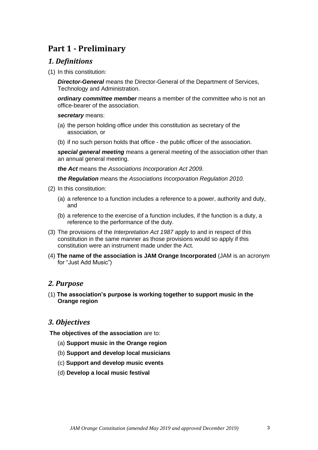# <span id="page-2-0"></span>**Part 1 - Preliminary**

## <span id="page-2-1"></span>*1. Definitions*

(1) In this constitution:

*Director-General* means the Director-General of the Department of Services, Technology and Administration.

*ordinary committee member* means a member of the committee who is not an office-bearer of the association.

#### *secretary* means:

- (a) the person holding office under this constitution as secretary of the association, or
- (b) if no such person holds that office the public officer of the association.

*special general meeting* means a general meeting of the association other than an annual general meeting.

*the Act* means the *[Associations Incorporation Act 2009](http://www.legislation.nsw.gov.au/xref/inforce/?xref=Type%3Dact%20AND%20Year%3D2009%20AND%20no%3D7&nohits=y)*.

*the Regulation* means the *[Associations Incorporation Regulation 2010.](http://www.legislation.nsw.gov.au/xref/inforce/?xref=Type%3Dsubordleg%20AND%20Year%3D2010%20AND%20No%3D238&nohits=y)*

- (2) In this constitution:
	- (a) a reference to a function includes a reference to a power, authority and duty, and
	- (b) a reference to the exercise of a function includes, if the function is a duty, a reference to the performance of the duty.
- (3) The provisions of the *[Interpretation Act 1987](http://www.legislation.nsw.gov.au/xref/inforce/?xref=Type%3Dact%20AND%20Year%3D1987%20AND%20no%3D15&nohits=y)* apply to and in respect of this constitution in the same manner as those provisions would so apply if this constitution were an instrument made under the Act.
- (4) **The name of the association is JAM Orange Incorporated** (JAM is an acronym for "Just Add Music")

# *2. Purpose*

(1) **The association's purpose is working together to support music in the Orange region**

# *3. Objectives*

**The objectives of the association** are to:

- (a) **Support music in the Orange region**
- (b) **Support and develop local musicians**
- (c) **Support and develop music events**
- (d) **Develop a local music festival**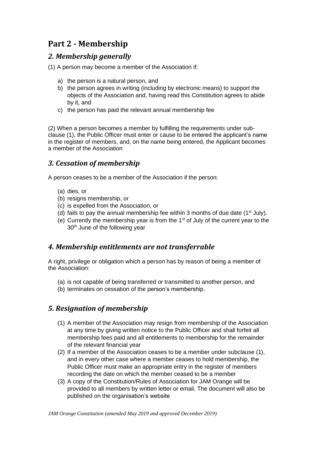# **Part 2 - Membership**

# <span id="page-3-0"></span>*2. Membership generally*

(1) A person may become a member of the Association if:

- a) the person is a natural person, and
- b) the person agrees in writing (including by electronic means) to support the objects of the Association and, having read this Constitution agrees to abide by it, and
- c) the person has paid the relevant annual membership fee

(2) When a person becomes a member by fulfilling the requirements under subclause (1), the Public Officer must enter or cause to be entered the applicant's name in the register of members, and, on the name being entered, the Applicant becomes a member of the Association

# *3. Cessation of membership*

A person ceases to be a member of the Association if the person:

- (a) dies, or
- (b) resigns membership, or
- (c) is expelled from the Association, or
- (d) fails to pay the annual membership fee within 3 months of due date  $(1<sup>st</sup>$  July).
- (e) Currently the membership year is from the  $1<sup>st</sup>$  of July of the current year to the 30<sup>th</sup> June of the following year

# *4. Membership entitlements are not transferrable*

A right, privilege or obligation which a person has by reason of being a member of the Association:

- (a) is not capable of being transferred or transmitted to another person, and
- (b) terminates on cessation of the person's membership.

# *5. Resignation of membership*

- (1) A member of the Association may resign from membership of the Association at any time by giving written notice to the Public Officer and shall forfeit all membership fees paid and all entitlements to membership for the remainder of the relevant financial year
- (2) If a member of the Association ceases to be a member under subclause (1), and in every other case where a member ceases to hold membership, the Public Officer must make an appropriate entry in the register of members recording the date on which the member ceased to be a member
- <span id="page-3-1"></span>(3) A copy of the Constitution/Rules of Association for JAM Orange will be provided to all members by written letter or email. The document will also be published on the organisation's website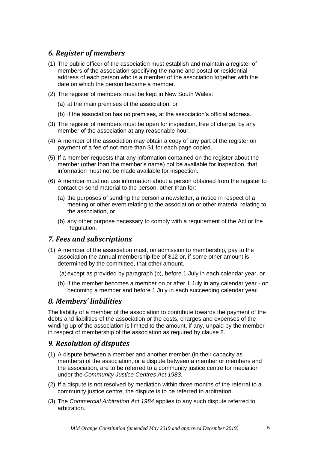# <span id="page-4-0"></span>*6. Register of members*

- (1) The public officer of the association must establish and maintain a register of members of the association specifying the name and postal or residential address of each person who is a member of the association together with the date on which the person became a member.
- (2) The register of members must be kept in New South Wales:
	- (a) at the main premises of the association, or
	- (b) if the association has no premises, at the association's official address.
- (3) The register of members must be open for inspection, free of charge, by any member of the association at any reasonable hour.
- (4) A member of the association may obtain a copy of any part of the register on payment of a fee of not more than \$1 for each page copied.
- (5) If a member requests that any information contained on the register about the member (other than the member's name) not be available for inspection, that information must not be made available for inspection.
- (6) A member must not use information about a person obtained from the register to contact or send material to the person, other than for:
	- (a) the purposes of sending the person a newsletter, a notice in respect of a meeting or other event relating to the association or other material relating to the association, or
	- (b) any other purpose necessary to comply with a requirement of the Act or the Regulation.

#### <span id="page-4-1"></span>*7. Fees and subscriptions*

- (1) A member of the association must, on admission to membership, pay to the association the annual membership fee of \$12 or, if some other amount is determined by the committee, that other amount.
	- (a)except as provided by paragraph (b), before 1 July in each calendar year, or
	- (b) if the member becomes a member on or after 1 July in any calendar year on becoming a member and before 1 July in each succeeding calendar year.

#### <span id="page-4-2"></span>*8. Members' liabilities*

The liability of a member of the association to contribute towards the payment of the debts and liabilities of the association or the costs, charges and expenses of the winding up of the association is limited to the amount, if any, unpaid by the member in respect of membership of the association as required by clause 8.

#### <span id="page-4-3"></span>*9. Resolution of disputes*

- (1) A dispute between a member and another member (in their capacity as members) of the association, or a dispute between a member or members and the association, are to be referred to a community justice centre for mediation under the *[Community Justice Centres Act 1983](http://www.legislation.nsw.gov.au/xref/inforce/?xref=Type%3Dact%20AND%20Year%3D1983%20AND%20no%3D127&nohits=y)*.
- (2) If a dispute is not resolved by mediation within three months of the referral to a community justice centre, the dispute is to be referred to arbitration.
- (3) The *[Commercial Arbitration Act 1984](http://www.legislation.nsw.gov.au/xref/inforce/?xref=Type%3Dact%20AND%20Year%3D1984%20AND%20no%3D160&nohits=y)* applies to any such dispute referred to arbitration.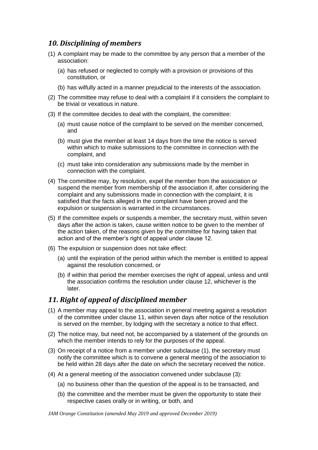# <span id="page-5-0"></span>*10. Disciplining of members*

- (1) A complaint may be made to the committee by any person that a member of the association:
	- (a) has refused or neglected to comply with a provision or provisions of this constitution, or
	- (b) has wilfully acted in a manner prejudicial to the interests of the association.
- (2) The committee may refuse to deal with a complaint if it considers the complaint to be trivial or vexatious in nature.
- (3) If the committee decides to deal with the complaint, the committee:
	- (a) must cause notice of the complaint to be served on the member concerned, and
	- (b) must give the member at least 14 days from the time the notice is served within which to make submissions to the committee in connection with the complaint, and
	- (c) must take into consideration any submissions made by the member in connection with the complaint.
- (4) The committee may, by resolution, expel the member from the association or suspend the member from membership of the association if, after considering the complaint and any submissions made in connection with the complaint, it is satisfied that the facts alleged in the complaint have been proved and the expulsion or suspension is warranted in the circumstances.
- (5) If the committee expels or suspends a member, the secretary must, within seven days after the action is taken, cause written notice to be given to the member of the action taken, of the reasons given by the committee for having taken that action and of the member's right of appeal under clause 12.
- (6) The expulsion or suspension does not take effect:
	- (a) until the expiration of the period within which the member is entitled to appeal against the resolution concerned, or
	- (b) if within that period the member exercises the right of appeal, unless and until the association confirms the resolution under clause 12, whichever is the later.

# <span id="page-5-1"></span>*11. Right of appeal of disciplined member*

- (1) A member may appeal to the association in general meeting against a resolution of the committee under clause 11, within seven days after notice of the resolution is served on the member, by lodging with the secretary a notice to that effect.
- (2) The notice may, but need not, be accompanied by a statement of the grounds on which the member intends to rely for the purposes of the appeal.
- (3) On receipt of a notice from a member under subclause (1), the secretary must notify the committee which is to convene a general meeting of the association to be held within 28 days after the date on which the secretary received the notice.
- (4) At a general meeting of the association convened under subclause (3):
	- (a) no business other than the question of the appeal is to be transacted, and
	- (b) the committee and the member must be given the opportunity to state their respective cases orally or in writing, or both, and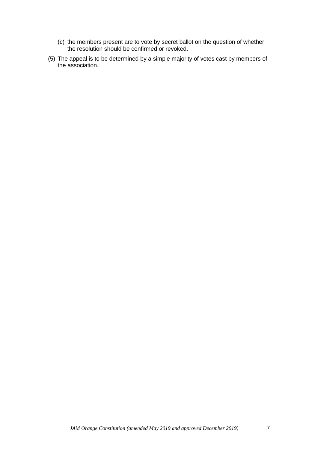- (c) the members present are to vote by secret ballot on the question of whether the resolution should be confirmed or revoked.
- (5) The appeal is to be determined by a simple majority of votes cast by members of the association.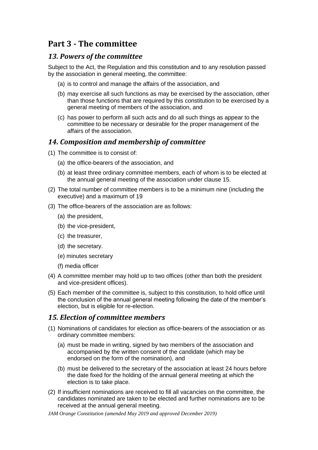# **Part 3 - The committee**

## <span id="page-7-0"></span>*13. Powers of the committee*

Subject to the Act, the Regulation and this constitution and to any resolution passed by the association in general meeting, the committee:

- (a) is to control and manage the affairs of the association, and
- (b) may exercise all such functions as may be exercised by the association, other than those functions that are required by this constitution to be exercised by a general meeting of members of the association, and
- (c) has power to perform all such acts and do all such things as appear to the committee to be necessary or desirable for the proper management of the affairs of the association.

## <span id="page-7-1"></span>*14. Composition and membership of committee*

- (1) The committee is to consist of:
	- (a) the office-bearers of the association, and
	- (b) at least three ordinary committee members, each of whom is to be elected at the annual general meeting of the association under clause 15.
- (2) The total number of committee members is to be a minimum nine (including the executive) and a maximum of 19
- (3) The office-bearers of the association are as follows:
	- (a) the president,
	- (b) the vice-president,
	- (c) the treasurer,
	- (d) the secretary.
	- (e) minutes secretary
	- (f) media officer
- (4) A committee member may hold up to two offices (other than both the president and vice-president offices).
- (5) Each member of the committee is, subject to this constitution, to hold office until the conclusion of the annual general meeting following the date of the member's election, but is eligible for re-election.

#### <span id="page-7-2"></span>*15. Election of committee members*

- (1) Nominations of candidates for election as office-bearers of the association or as ordinary committee members:
	- (a) must be made in writing, signed by two members of the association and accompanied by the written consent of the candidate (which may be endorsed on the form of the nomination), and
	- (b) must be delivered to the secretary of the association at least 24 hours before the date fixed for the holding of the annual general meeting at which the election is to take place.
- (2) If insufficient nominations are received to fill all vacancies on the committee, the candidates nominated are taken to be elected and further nominations are to be received at the annual general meeting.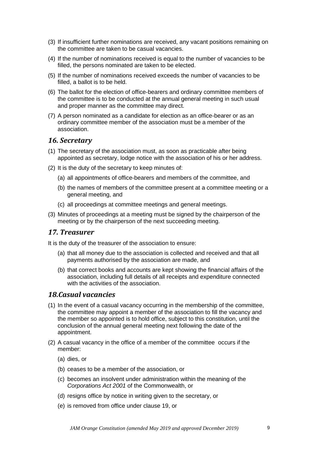- (3) If insufficient further nominations are received, any vacant positions remaining on the committee are taken to be casual vacancies.
- (4) If the number of nominations received is equal to the number of vacancies to be filled, the persons nominated are taken to be elected.
- (5) If the number of nominations received exceeds the number of vacancies to be filled, a ballot is to be held.
- (6) The ballot for the election of office-bearers and ordinary committee members of the committee is to be conducted at the annual general meeting in such usual and proper manner as the committee may direct.
- (7) A person nominated as a candidate for election as an office-bearer or as an ordinary committee member of the association must be a member of the association.

#### <span id="page-8-0"></span>*16. Secretary*

- (1) The secretary of the association must, as soon as practicable after being appointed as secretary, lodge notice with the association of his or her address.
- (2) It is the duty of the secretary to keep minutes of:
	- (a) all appointments of office-bearers and members of the committee, and
	- (b) the names of members of the committee present at a committee meeting or a general meeting, and
	- (c) all proceedings at committee meetings and general meetings.
- (3) Minutes of proceedings at a meeting must be signed by the chairperson of the meeting or by the chairperson of the next succeeding meeting.

#### <span id="page-8-1"></span>*17. Treasurer*

It is the duty of the treasurer of the association to ensure:

- (a) that all money due to the association is collected and received and that all payments authorised by the association are made, and
- (b) that correct books and accounts are kept showing the financial affairs of the association, including full details of all receipts and expenditure connected with the activities of the association.

#### <span id="page-8-2"></span>*18.Casual vacancies*

- (1) In the event of a casual vacancy occurring in the membership of the committee, the committee may appoint a member of the association to fill the vacancy and the member so appointed is to hold office, subject to this constitution, until the conclusion of the annual general meeting next following the date of the appointment.
- (2) A casual vacancy in the office of a member of the committee occurs if the member:
	- (a) dies, or
	- (b) ceases to be a member of the association, or
	- (c) becomes an insolvent under administration within the meaning of the *[Corporations Act 2001](http://www.comlaw.gov.au/)* of the Commonwealth, or
	- (d) resigns office by notice in writing given to the secretary, or
	- (e) is removed from office under clause 19, or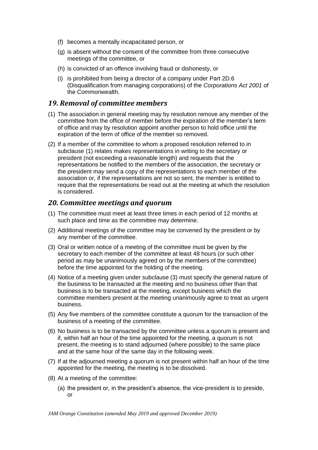- (f) becomes a mentally incapacitated person, or
- (g) is absent without the consent of the committee from three consecutive meetings of the committee, or
- (h) is convicted of an offence involving fraud or dishonesty, or
- (i) is prohibited from being a director of a company under Part 2D.6 (Disqualification from managing corporations) of the *[Corporations Act 2001](http://www.comlaw.gov.au/)* of the Commonwealth.

#### <span id="page-9-0"></span>*19. Removal of committee members*

- (1) The association in general meeting may by resolution remove any member of the committee from the office of member before the expiration of the member's term of office and may by resolution appoint another person to hold office until the expiration of the term of office of the member so removed.
- (2) If a member of the committee to whom a proposed resolution referred to in subclause (1) relates makes representations in writing to the secretary or president (not exceeding a reasonable length) and requests that the representations be notified to the members of the association, the secretary or the president may send a copy of the representations to each member of the association or, if the representations are not so sent, the member is entitled to require that the representations be read out at the meeting at which the resolution is considered.

#### <span id="page-9-1"></span>*20. Committee meetings and quorum*

- (1) The committee must meet at least three times in each period of 12 months at such place and time as the committee may determine.
- (2) Additional meetings of the committee may be convened by the president or by any member of the committee.
- (3) Oral or written notice of a meeting of the committee must be given by the secretary to each member of the committee at least 48 hours (or such other period as may be unanimously agreed on by the members of the committee) before the time appointed for the holding of the meeting.
- (4) Notice of a meeting given under subclause (3) must specify the general nature of the business to be transacted at the meeting and no business other than that business is to be transacted at the meeting, except business which the committee members present at the meeting unanimously agree to treat as urgent business.
- (5) Any five members of the committee constitute a quorum for the transaction of the business of a meeting of the committee.
- (6) No business is to be transacted by the committee unless a quorum is present and if, within half an hour of the time appointed for the meeting, a quorum is not present, the meeting is to stand adjourned (where possible) to the same place and at the same hour of the same day in the following week.
- (7) If at the adjourned meeting a quorum is not present within half an hour of the time appointed for the meeting, the meeting is to be dissolved.
- (8) At a meeting of the committee:
	- (a) the president or, in the president's absence, the vice-president is to preside, or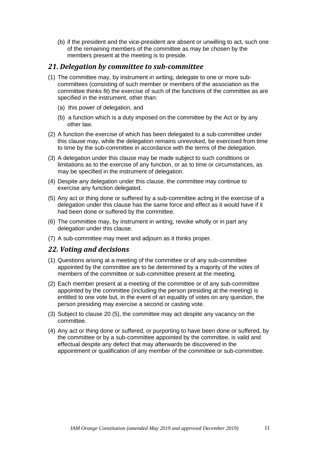(b) if the president and the vice-president are absent or unwilling to act, such one of the remaining members of the committee as may be chosen by the members present at the meeting is to preside.

#### <span id="page-10-0"></span>*21. Delegation by committee to sub-committee*

- (1) The committee may, by instrument in writing, delegate to one or more subcommittees (consisting of such member or members of the association as the committee thinks fit) the exercise of such of the functions of the committee as are specified in the instrument, other than:
	- (a) this power of delegation, and
	- (b) a function which is a duty imposed on the committee by the Act or by any other law.
- (2) A function the exercise of which has been delegated to a sub-committee under this clause may, while the delegation remains unrevoked, be exercised from time to time by the sub-committee in accordance with the terms of the delegation.
- (3) A delegation under this clause may be made subject to such conditions or limitations as to the exercise of any function, or as to time or circumstances, as may be specified in the instrument of delegation.
- (4) Despite any delegation under this clause, the committee may continue to exercise any function delegated.
- (5) Any act or thing done or suffered by a sub-committee acting in the exercise of a delegation under this clause has the same force and effect as it would have if it had been done or suffered by the committee.
- (6) The committee may, by instrument in writing, revoke wholly or in part any delegation under this clause.
- (7) A sub-committee may meet and adjourn as it thinks proper.

#### <span id="page-10-1"></span>*22. Voting and decisions*

- (1) Questions arising at a meeting of the committee or of any sub-committee appointed by the committee are to be determined by a majority of the votes of members of the committee or sub-committee present at the meeting.
- (2) Each member present at a meeting of the committee or of any sub-committee appointed by the committee (including the person presiding at the meeting) is entitled to one vote but, in the event of an equality of votes on any question, the person presiding may exercise a second or casting vote.
- (3) Subject to clause 20 (5), the committee may act despite any vacancy on the committee.
- <span id="page-10-2"></span>(4) Any act or thing done or suffered, or purporting to have been done or suffered, by the committee or by a sub-committee appointed by the committee, is valid and effectual despite any defect that may afterwards be discovered in the appointment or qualification of any member of the committee or sub-committee.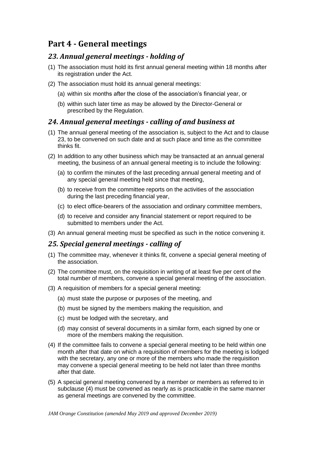# **Part 4 - General meetings**

# <span id="page-11-0"></span>*23. Annual general meetings - holding of*

- (1) The association must hold its first annual general meeting within 18 months after its registration under the Act.
- (2) The association must hold its annual general meetings:
	- (a) within six months after the close of the association's financial year, or
	- (b) within such later time as may be allowed by the Director-General or prescribed by the Regulation.

## <span id="page-11-1"></span>*24. Annual general meetings - calling of and business at*

- (1) The annual general meeting of the association is, subject to the Act and to clause 23, to be convened on such date and at such place and time as the committee thinks fit.
- (2) In addition to any other business which may be transacted at an annual general meeting, the business of an annual general meeting is to include the following:
	- (a) to confirm the minutes of the last preceding annual general meeting and of any special general meeting held since that meeting,
	- (b) to receive from the committee reports on the activities of the association during the last preceding financial year,
	- (c) to elect office-bearers of the association and ordinary committee members,
	- (d) to receive and consider any financial statement or report required to be submitted to members under the Act.
- (3) An annual general meeting must be specified as such in the notice convening it.

#### <span id="page-11-2"></span>*25. Special general meetings - calling of*

- (1) The committee may, whenever it thinks fit, convene a special general meeting of the association.
- (2) The committee must, on the requisition in writing of at least five per cent of the total number of members, convene a special general meeting of the association.
- (3) A requisition of members for a special general meeting:
	- (a) must state the purpose or purposes of the meeting, and
	- (b) must be signed by the members making the requisition, and
	- (c) must be lodged with the secretary, and
	- (d) may consist of several documents in a similar form, each signed by one or more of the members making the requisition.
- (4) If the committee fails to convene a special general meeting to be held within one month after that date on which a requisition of members for the meeting is lodged with the secretary, any one or more of the members who made the requisition may convene a special general meeting to be held not later than three months after that date.
- (5) A special general meeting convened by a member or members as referred to in subclause (4) must be convened as nearly as is practicable in the same manner as general meetings are convened by the committee.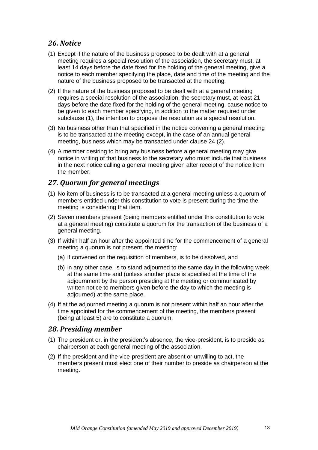## <span id="page-12-0"></span>*26. Notice*

- (1) Except if the nature of the business proposed to be dealt with at a general meeting requires a special resolution of the association, the secretary must, at least 14 days before the date fixed for the holding of the general meeting, give a notice to each member specifying the place, date and time of the meeting and the nature of the business proposed to be transacted at the meeting.
- (2) If the nature of the business proposed to be dealt with at a general meeting requires a special resolution of the association, the secretary must, at least 21 days before the date fixed for the holding of the general meeting, cause notice to be given to each member specifying, in addition to the matter required under subclause (1), the intention to propose the resolution as a special resolution.
- (3) No business other than that specified in the notice convening a general meeting is to be transacted at the meeting except, in the case of an annual general meeting, business which may be transacted under clause 24 (2).
- (4) A member desiring to bring any business before a general meeting may give notice in writing of that business to the secretary who must include that business in the next notice calling a general meeting given after receipt of the notice from the member.

## <span id="page-12-1"></span>*27. Quorum for general meetings*

- (1) No item of business is to be transacted at a general meeting unless a quorum of members entitled under this constitution to vote is present during the time the meeting is considering that item.
- (2) Seven members present (being members entitled under this constitution to vote at a general meeting) constitute a quorum for the transaction of the business of a general meeting.
- (3) If within half an hour after the appointed time for the commencement of a general meeting a quorum is not present, the meeting:
	- (a) if convened on the requisition of members, is to be dissolved, and
	- (b) in any other case, is to stand adjourned to the same day in the following week at the same time and (unless another place is specified at the time of the adjournment by the person presiding at the meeting or communicated by written notice to members given before the day to which the meeting is adjourned) at the same place.
- (4) If at the adjourned meeting a quorum is not present within half an hour after the time appointed for the commencement of the meeting, the members present (being at least 5) are to constitute a quorum.

#### <span id="page-12-2"></span>*28. Presiding member*

- (1) The president or, in the president's absence, the vice-president, is to preside as chairperson at each general meeting of the association.
- <span id="page-12-3"></span>(2) If the president and the vice-president are absent or unwilling to act, the members present must elect one of their number to preside as chairperson at the meeting.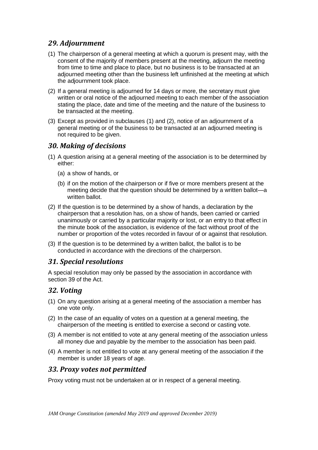# *29. Adjournment*

- (1) The chairperson of a general meeting at which a quorum is present may, with the consent of the majority of members present at the meeting, adjourn the meeting from time to time and place to place, but no business is to be transacted at an adjourned meeting other than the business left unfinished at the meeting at which the adjournment took place.
- (2) If a general meeting is adjourned for 14 days or more, the secretary must give written or oral notice of the adjourned meeting to each member of the association stating the place, date and time of the meeting and the nature of the business to be transacted at the meeting.
- (3) Except as provided in subclauses (1) and (2), notice of an adjournment of a general meeting or of the business to be transacted at an adjourned meeting is not required to be given.

# <span id="page-13-0"></span>*30. Making of decisions*

- (1) A question arising at a general meeting of the association is to be determined by either:
	- (a) a show of hands, or
	- (b) if on the motion of the chairperson or if five or more members present at the meeting decide that the question should be determined by a written ballot—a written ballot.
- (2) If the question is to be determined by a show of hands, a declaration by the chairperson that a resolution has, on a show of hands, been carried or carried unanimously or carried by a particular majority or lost, or an entry to that effect in the minute book of the association, is evidence of the fact without proof of the number or proportion of the votes recorded in favour of or against that resolution.
- (3) If the question is to be determined by a written ballot, the ballot is to be conducted in accordance with the directions of the chairperson.

# <span id="page-13-1"></span>*31. Special resolutions*

A special resolution may only be passed by the association in accordance with section 39 of the Act.

# <span id="page-13-2"></span>*32. Voting*

- (1) On any question arising at a general meeting of the association a member has one vote only.
- (2) In the case of an equality of votes on a question at a general meeting, the chairperson of the meeting is entitled to exercise a second or casting vote.
- (3) A member is not entitled to vote at any general meeting of the association unless all money due and payable by the member to the association has been paid.
- (4) A member is not entitled to vote at any general meeting of the association if the member is under 18 years of age.

# <span id="page-13-3"></span>*33. Proxy votes not permitted*

Proxy voting must not be undertaken at or in respect of a general meeting.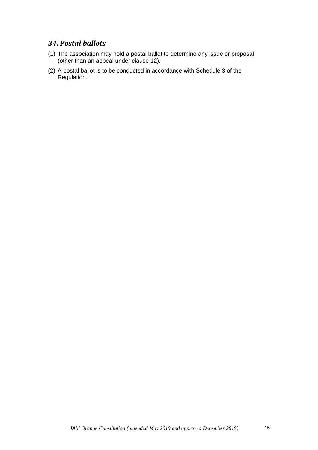## <span id="page-14-0"></span>*34. Postal ballots*

- (1) The association may hold a postal ballot to determine any issue or proposal (other than an appeal under clause 12).
- <span id="page-14-1"></span>(2) A postal ballot is to be conducted in accordance with Schedule 3 of the Regulation.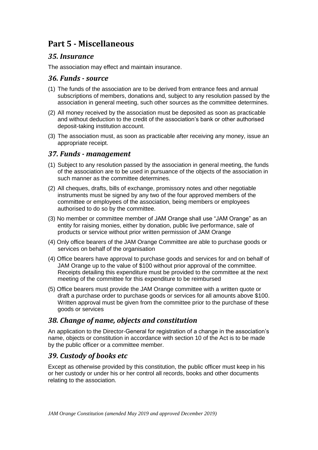# **Part 5 - Miscellaneous**

## <span id="page-15-0"></span>*35. Insurance*

The association may effect and maintain insurance.

#### <span id="page-15-1"></span>*36. Funds - source*

- (1) The funds of the association are to be derived from entrance fees and annual subscriptions of members, donations and, subject to any resolution passed by the association in general meeting, such other sources as the committee determines.
- (2) All money received by the association must be deposited as soon as practicable and without deduction to the credit of the association's bank or other authorised deposit-taking institution account.
- (3) The association must, as soon as practicable after receiving any money, issue an appropriate receipt.

#### <span id="page-15-2"></span>*37. Funds - management*

- (1) Subject to any resolution passed by the association in general meeting, the funds of the association are to be used in pursuance of the objects of the association in such manner as the committee determines.
- (2) All cheques, drafts, bills of exchange, promissory notes and other negotiable instruments must be signed by any two of the four approved members of the committee or employees of the association, being members or employees authorised to do so by the committee.
- (3) No member or committee member of JAM Orange shall use "JAM Orange" as an entity for raising monies, either by donation, public live performance, sale of products or service without prior written permission of JAM Orange
- (4) Only office bearers of the JAM Orange Committee are able to purchase goods or services on behalf of the organisation
- (4) Office bearers have approval to purchase goods and services for and on behalf of JAM Orange up to the value of \$100 without prior approval of the committee. Receipts detailing this expenditure must be provided to the committee at the next meeting of the committee for this expenditure to be reimbursed
- (5) Office bearers must provide the JAM Orange committee with a written quote or draft a purchase order to purchase goods or services for all amounts above \$100. Written approval must be given from the committee prior to the purchase of these goods or services

#### <span id="page-15-3"></span>*38. Change of name, objects and constitution*

An application to the Director-General for registration of a change in the association's name, objects or constitution in accordance with section 10 of the Act is to be made by the public officer or a committee member.

# <span id="page-15-4"></span>*39. Custody of books etc*

Except as otherwise provided by this constitution, the public officer must keep in his or her custody or under his or her control all records, books and other documents relating to the association.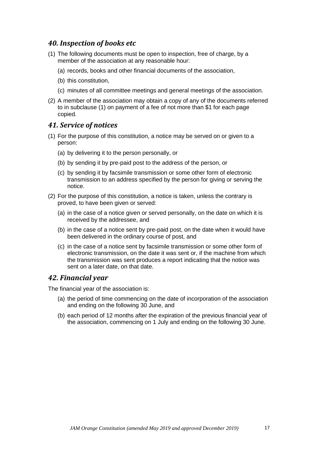## <span id="page-16-0"></span>*40. Inspection of books etc*

- (1) The following documents must be open to inspection, free of charge, by a member of the association at any reasonable hour:
	- (a) records, books and other financial documents of the association,
	- (b) this constitution,
	- (c) minutes of all committee meetings and general meetings of the association.
- (2) A member of the association may obtain a copy of any of the documents referred to in subclause (1) on payment of a fee of not more than \$1 for each page copied.

#### <span id="page-16-1"></span>*41. Service of notices*

- (1) For the purpose of this constitution, a notice may be served on or given to a person:
	- (a) by delivering it to the person personally, or
	- (b) by sending it by pre-paid post to the address of the person, or
	- (c) by sending it by facsimile transmission or some other form of electronic transmission to an address specified by the person for giving or serving the notice.
- (2) For the purpose of this constitution, a notice is taken, unless the contrary is proved, to have been given or served:
	- (a) in the case of a notice given or served personally, on the date on which it is received by the addressee, and
	- (b) in the case of a notice sent by pre-paid post, on the date when it would have been delivered in the ordinary course of post, and
	- (c) in the case of a notice sent by facsimile transmission or some other form of electronic transmission, on the date it was sent or, if the machine from which the transmission was sent produces a report indicating that the notice was sent on a later date, on that date.

#### <span id="page-16-2"></span>*42. Financial year*

The financial year of the association is:

- (a) the period of time commencing on the date of incorporation of the association and ending on the following 30 June, and
- (b) each period of 12 months after the expiration of the previous financial year of the association, commencing on 1 July and ending on the following 30 June.